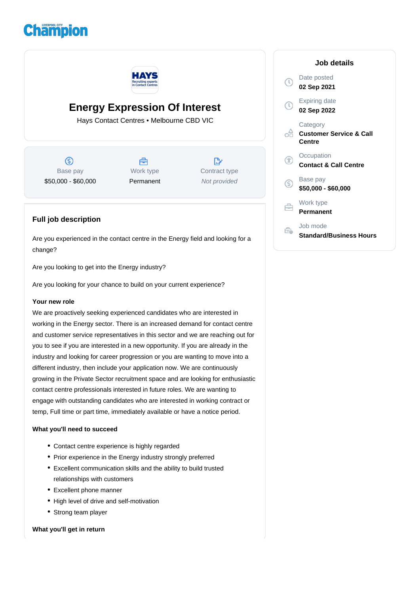# **Champion**



## **Energy Expression Of Interest**

Hays Contact Centres • Melbourne CBD VIC

⑤ Base pay \$50,000 - \$60,000

合 Work type Permanent

 $\mathbb{R}$ Contract type Not provided

### **Full job description**

Are you experienced in the contact centre in the Energy field and looking for a change?

Are you looking to get into the Energy industry?

Are you looking for your chance to build on your current experience?

#### **Your new role**

We are proactively seeking experienced candidates who are interested in working in the Energy sector. There is an increased demand for contact centre and customer service representatives in this sector and we are reaching out for you to see if you are interested in a new opportunity. If you are already in the industry and looking for career progression or you are wanting to move into a different industry, then include your application now. We are continuously growing in the Private Sector recruitment space and are looking for enthusiastic contact centre professionals interested in future roles. We are wanting to engage with outstanding candidates who are interested in working contract or temp, Full time or part time, immediately available or have a notice period.

#### **What you'll need to succeed**

- Contact centre experience is highly regarded
- Prior experience in the Energy industry strongly preferred
- Excellent communication skills and the ability to build trusted relationships with customers
- Excellent phone manner
- High level of drive and self-motivation
- Strong team player

#### **What you'll get in return**

|              | Job details                                              |
|--------------|----------------------------------------------------------|
|              | Date posted<br>02 Sep 2021                               |
| $\mathbb{C}$ | Expiring date<br>02 Sep 2022                             |
|              | Category<br><b>Customer Service &amp; Call</b><br>Centre |
| Ŧ            | Occupation<br><b>Contact &amp; Call Centre</b>           |
| G.           | Base pay<br>\$50,000 - \$60,000                          |
|              | Work type<br>Permanent                                   |
|              | Job mode<br><b>Standard/Business Hours</b>               |